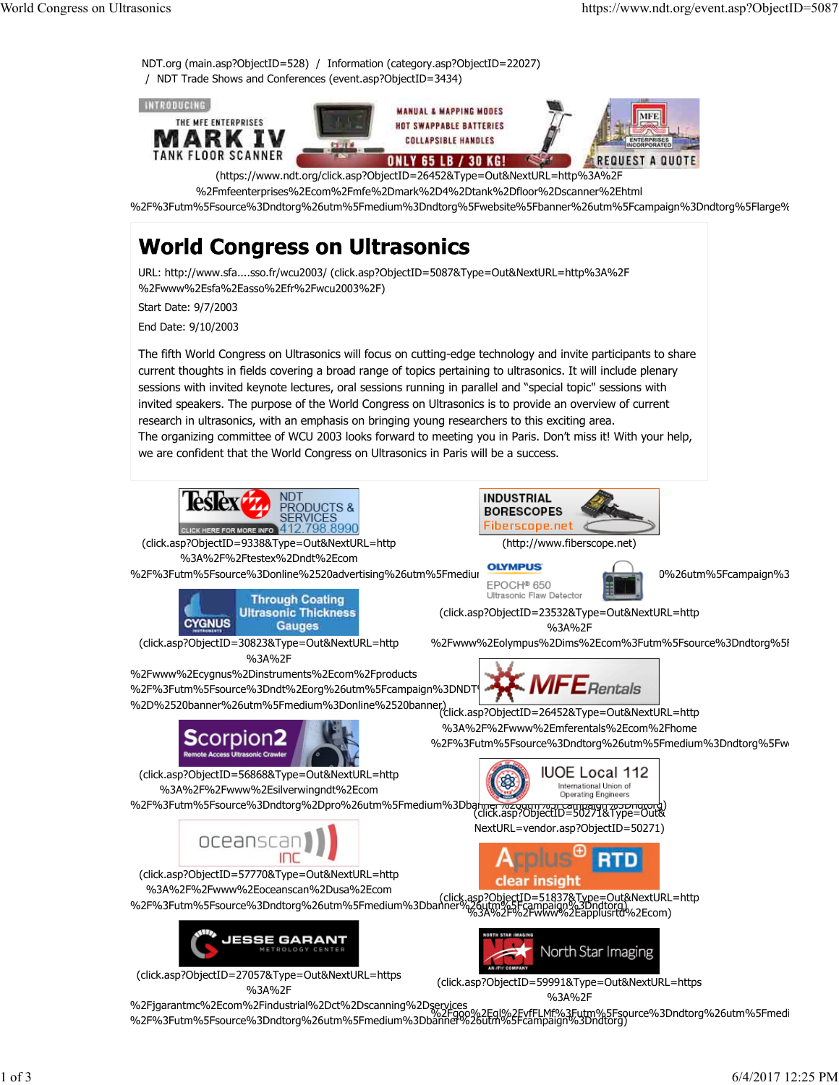

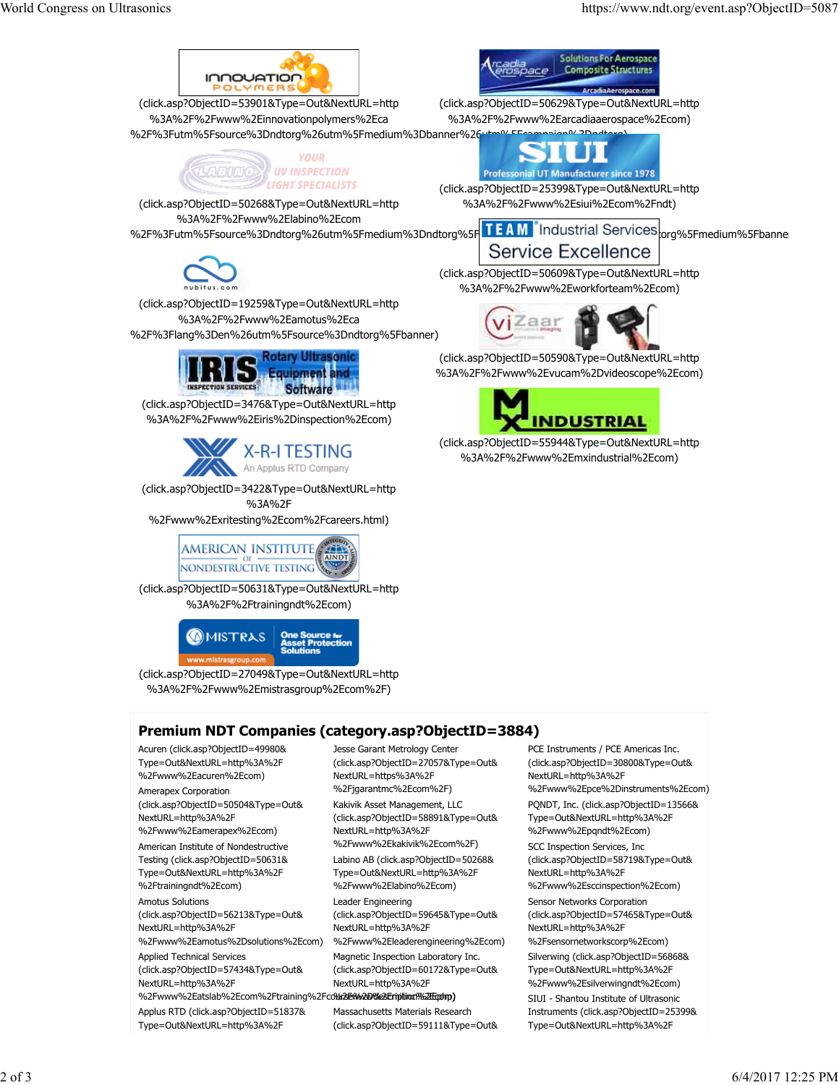

Testing (click.asp?ObjectID=50631& Type=Out&NextURL=http%3A%2F

- %2Ftrainingndt%2Ecom) Amotus Solutions (click.asp?ObjectID=56213&Type=Out& NextURL=http%3A%2F %2Fwww%2Eamotus%2Dsolutions%2Ecom) Applied Technical Services (click.asp?ObjectID=57434&Type=Out&
- NextURL=http%3A%2F %2Fwww%2Eatslab%2Ecom%2Ftraining%2FcoWa**2E%&D%2Eription#%2Eqolmp)** Applus RTD (click.asp?ObjectID=51837& Type=Out&NextURL=http%3A%2F

Labino AB (click.asp?ObjectID=50268& Type=Out&NextURL=http%3A%2F %2Fwww%2Elabino%2Ecom) Leader Engineering (click.asp?ObjectID=59645&Type=Out& NextURL=http%3A%2F %2Fwww%2Eleaderengineering%2Ecom) Magnetic Inspection Laboratory Inc. (click.asp?ObjectID=60172&Type=Out& NextURL=http%3A%2F

Massachusetts Materials Research (click.asp?ObjectID=59111&Type=Out&

(click.asp?ObjectID=58719&Type=Out& NextURL=http%3A%2F %2Fwww%2Esccinspection%2Ecom) Sensor Networks Corporation (click.asp?ObjectID=57465&Type=Out& NextURL=http%3A%2F %2Fsensornetworkscorp%2Ecom) Silverwing (click.asp?ObjectID=56868& Type=Out&NextURL=http%3A%2F %2Fwww%2Esilverwingndt%2Ecom) SIUI - Shantou Institute of Ultrasonic Instruments (click.asp?ObjectID=25399& Type=Out&NextURL=http%3A%2F